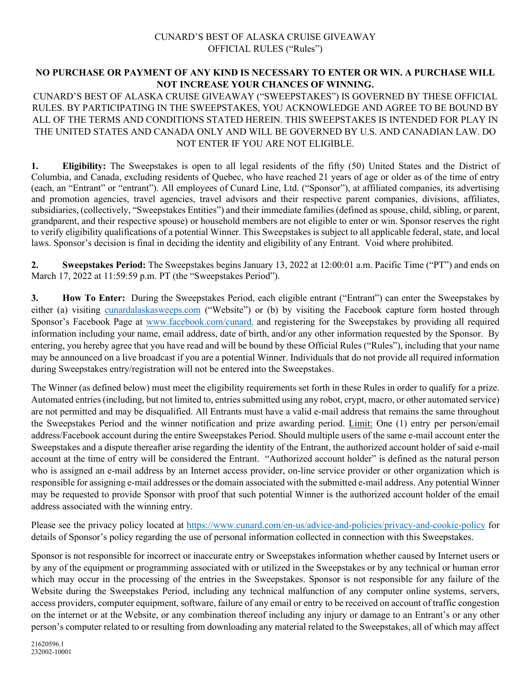## CUNARD'S BEST OF ALASKA CRUISE GIVEAWAY OFFICIAL RULES ("Rules")

## **NO PURCHASE OR PAYMENT OF ANY KIND IS NECESSARY TO ENTER OR WIN. A PURCHASE WILL NOT INCREASE YOUR CHANCES OF WINNING.**

CUNARD'S BEST OF ALASKA CRUISE GIVEAWAY ("SWEEPSTAKES") IS GOVERNED BY THESE OFFICIAL RULES. BY PARTICIPATING IN THE SWEEPSTAKES, YOU ACKNOWLEDGE AND AGREE TO BE BOUND BY ALL OF THE TERMS AND CONDITIONS STATED HEREIN. THIS SWEEPSTAKES IS INTENDED FOR PLAY IN THE UNITED STATES AND CANADA ONLY AND WILL BE GOVERNED BY U.S. AND CANADIAN LAW. DO NOT ENTER IF YOU ARE NOT ELIGIBLE.

**1. Eligibility:** The Sweepstakes is open to all legal residents of the fifty (50) United States and the District of Columbia, and Canada, excluding residents of Quebec, who have reached 21 years of age or older as of the time of entry (each, an "Entrant" or "entrant"). All employees of Cunard Line, Ltd. ("Sponsor"), at affiliated companies, its advertising and promotion agencies, travel agencies, travel advisors and their respective parent companies, divisions, affiliates, subsidiaries, (collectively, "Sweepstakes Entities") and their immediate families (defined as spouse, child, sibling, or parent, grandparent, and their respective spouse) or household members are not eligible to enter or win. Sponsor reserves the right to verify eligibility qualifications of a potential Winner. This Sweepstakes is subject to all applicable federal, state, and local laws. Sponsor's decision is final in deciding the identity and eligibility of any Entrant. Void where prohibited.

**2. Sweepstakes Period:** The Sweepstakes begins January 13, 2022 at 12:00:01 a.m. Pacific Time ("PT") and ends on March 17, 2022 at 11:59:59 p.m. PT (the "Sweepstakes Period").

**3. How To Enter:** During the Sweepstakes Period, each eligible entrant ("Entrant") can enter the Sweepstakes by either (a) visiting [cunardalaskasweeps.com](http://www.cunardalaskasweeps.com/) ("Website") or (b) by visiting the Facebook capture form hosted through Sponsor's Facebook Page at [www.facebook.com/cunard](http://www.facebook.com/cunard), and registering for the Sweepstakes by providing all required information including your name, email address, date of birth, and/or any other information requested by the Sponsor. By entering, you hereby agree that you have read and will be bound by these Official Rules ("Rules"), including that your name may be announced on a live broadcast if you are a potential Winner. Individuals that do not provide all required information during Sweepstakes entry/registration will not be entered into the Sweepstakes.

The Winner (as defined below) must meet the eligibility requirements set forth in these Rules in order to qualify for a prize. Automated entries (including, but not limited to, entries submitted using any robot, crypt, macro, or other automated service) are not permitted and may be disqualified. All Entrants must have a valid e-mail address that remains the same throughout the Sweepstakes Period and the winner notification and prize awarding period. Limit: One (1) entry per person/email address/Facebook account during the entire Sweepstakes Period. Should multiple users of the same e-mail account enter the Sweepstakes and a dispute thereafter arise regarding the identity of the Entrant, the authorized account holder of said e-mail account at the time of entry will be considered the Entrant. "Authorized account holder" is defined as the natural person who is assigned an e-mail address by an Internet access provider, on-line service provider or other organization which is responsible for assigning e-mail addresses or the domain associated with the submitted e-mail address. Any potential Winner may be requested to provide Sponsor with proof that such potential Winner is the authorized account holder of the email address associated with the winning entry.

Please see the privacy policy located at<https://www.cunard.com/en-us/advice-and-policies/privacy-and-cookie-policy> for details of Sponsor's policy regarding the use of personal information collected in connection with this Sweepstakes.

Sponsor is not responsible for incorrect or inaccurate entry or Sweepstakes information whether caused by Internet users or by any of the equipment or programming associated with or utilized in the Sweepstakes or by any technical or human error which may occur in the processing of the entries in the Sweepstakes. Sponsor is not responsible for any failure of the Website during the Sweepstakes Period, including any technical malfunction of any computer online systems, servers, access providers, computer equipment, software, failure of any email or entry to be received on account of traffic congestion on the internet or at the Website, or any combination thereof including any injury or damage to an Entrant's or any other person's computer related to or resulting from downloading any material related to the Sweepstakes, all of which may affect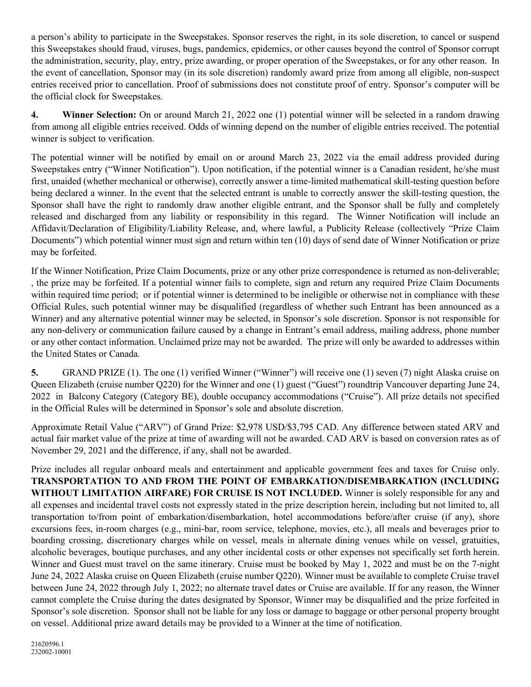a person's ability to participate in the Sweepstakes. Sponsor reserves the right, in its sole discretion, to cancel or suspend this Sweepstakes should fraud, viruses, bugs, pandemics, epidemics, or other causes beyond the control of Sponsor corrupt the administration, security, play, entry, prize awarding, or proper operation of the Sweepstakes, or for any other reason. In the event of cancellation, Sponsor may (in its sole discretion) randomly award prize from among all eligible, non-suspect entries received prior to cancellation. Proof of submissions does not constitute proof of entry. Sponsor's computer will be the official clock for Sweepstakes.

**4. Winner Selection:** On or around March 21, 2022 one (1) potential winner will be selected in a random drawing from among all eligible entries received. Odds of winning depend on the number of eligible entries received. The potential winner is subject to verification.

The potential winner will be notified by email on or around March 23, 2022 via the email address provided during Sweepstakes entry ("Winner Notification"). Upon notification, if the potential winner is a Canadian resident, he/she must first, unaided (whether mechanical or otherwise), correctly answer a time-limited mathematical skill-testing question before being declared a winner. In the event that the selected entrant is unable to correctly answer the skill-testing question, the Sponsor shall have the right to randomly draw another eligible entrant, and the Sponsor shall be fully and completely released and discharged from any liability or responsibility in this regard. The Winner Notification will include an Affidavit/Declaration of Eligibility/Liability Release, and, where lawful, a Publicity Release (collectively "Prize Claim Documents") which potential winner must sign and return within ten (10) days of send date of Winner Notification or prize may be forfeited.

If the Winner Notification, Prize Claim Documents, prize or any other prize correspondence is returned as non-deliverable; , the prize may be forfeited. If a potential winner fails to complete, sign and return any required Prize Claim Documents within required time period; or if potential winner is determined to be ineligible or otherwise not in compliance with these Official Rules, such potential winner may be disqualified (regardless of whether such Entrant has been announced as a Winner) and any alternative potential winner may be selected, in Sponsor's sole discretion. Sponsor is not responsible for any non-delivery or communication failure caused by a change in Entrant's email address, mailing address, phone number or any other contact information. Unclaimed prize may not be awarded. The prize will only be awarded to addresses within the United States or Canada.

**5.** GRAND PRIZE (1). The one (1) verified Winner ("Winner") will receive one (1) seven (7) night Alaska cruise on Queen Elizabeth (cruise number Q220) for the Winner and one (1) guest ("Guest") roundtrip Vancouver departing June 24, 2022 in Balcony Category (Category BE), double occupancy accommodations ("Cruise"). All prize details not specified in the Official Rules will be determined in Sponsor's sole and absolute discretion.

Approximate Retail Value ("ARV") of Grand Prize: \$2,978 USD/\$3,795 CAD. Any difference between stated ARV and actual fair market value of the prize at time of awarding will not be awarded. CAD ARV is based on conversion rates as of November 29, 2021 and the difference, if any, shall not be awarded.

Prize includes all regular onboard meals and entertainment and applicable government fees and taxes for Cruise only. **TRANSPORTATION TO AND FROM THE POINT OF EMBARKATION/DISEMBARKATION (INCLUDING WITHOUT LIMITATION AIRFARE) FOR CRUISE IS NOT INCLUDED.** Winner is solely responsible for any and all expenses and incidental travel costs not expressly stated in the prize description herein, including but not limited to, all transportation to/from point of embarkation/disembarkation, hotel accommodations before/after cruise (if any), shore excursions fees, in-room charges (e.g., mini-bar, room service, telephone, movies, etc.), all meals and beverages prior to boarding crossing, discretionary charges while on vessel, meals in alternate dining venues while on vessel, gratuities, alcoholic beverages, boutique purchases, and any other incidental costs or other expenses not specifically set forth herein. Winner and Guest must travel on the same itinerary. Cruise must be booked by May 1, 2022 and must be on the 7-night June 24, 2022 Alaska cruise on Queen Elizabeth (cruise number Q220). Winner must be available to complete Cruise travel between June 24, 2022 through July 1, 2022; no alternate travel dates or Cruise are available. If for any reason, the Winner cannot complete the Cruise during the dates designated by Sponsor, Winner may be disqualified and the prize forfeited in Sponsor's sole discretion. Sponsor shall not be liable for any loss or damage to baggage or other personal property brought on vessel. Additional prize award details may be provided to a Winner at the time of notification.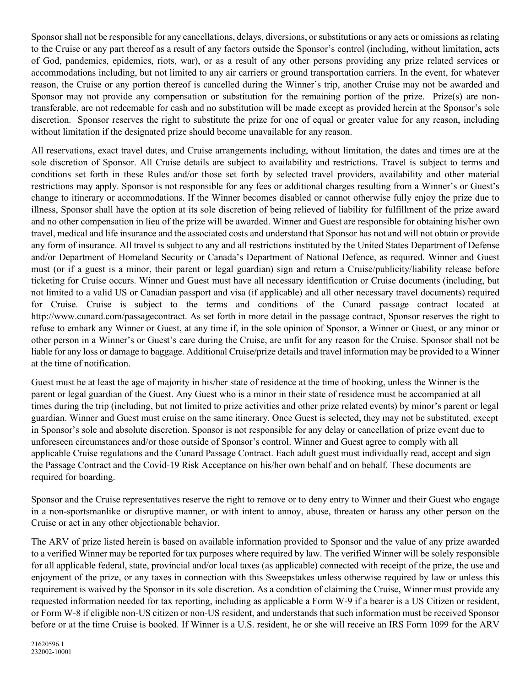Sponsor shall not be responsible for any cancellations, delays, diversions, or substitutions or any acts or omissions as relating to the Cruise or any part thereof as a result of any factors outside the Sponsor's control (including, without limitation, acts of God, pandemics, epidemics, riots, war), or as a result of any other persons providing any prize related services or accommodations including, but not limited to any air carriers or ground transportation carriers. In the event, for whatever reason, the Cruise or any portion thereof is cancelled during the Winner's trip, another Cruise may not be awarded and Sponsor may not provide any compensation or substitution for the remaining portion of the prize. Prize(s) are nontransferable, are not redeemable for cash and no substitution will be made except as provided herein at the Sponsor's sole discretion. Sponsor reserves the right to substitute the prize for one of equal or greater value for any reason, including without limitation if the designated prize should become unavailable for any reason.

All reservations, exact travel dates, and Cruise arrangements including, without limitation, the dates and times are at the sole discretion of Sponsor. All Cruise details are subject to availability and restrictions. Travel is subject to terms and conditions set forth in these Rules and/or those set forth by selected travel providers, availability and other material restrictions may apply. Sponsor is not responsible for any fees or additional charges resulting from a Winner's or Guest's change to itinerary or accommodations. If the Winner becomes disabled or cannot otherwise fully enjoy the prize due to illness, Sponsor shall have the option at its sole discretion of being relieved of liability for fulfillment of the prize award and no other compensation in lieu of the prize will be awarded. Winner and Guest are responsible for obtaining his/her own travel, medical and life insurance and the associated costs and understand that Sponsor has not and will not obtain or provide any form of insurance. All travel is subject to any and all restrictions instituted by the United States Department of Defense and/or Department of Homeland Security or Canada's Department of National Defence, as required. Winner and Guest must (or if a guest is a minor, their parent or legal guardian) sign and return a Cruise/publicity/liability release before ticketing for Cruise occurs. Winner and Guest must have all necessary identification or Cruise documents (including, but not limited to a valid US or Canadian passport and visa (if applicable) and all other necessary travel documents) required for Cruise. Cruise is subject to the terms and conditions of the Cunard passage contract located at http://www.cunard.com/passagecontract. As set forth in more detail in the passage contract, Sponsor reserves the right to refuse to embark any Winner or Guest, at any time if, in the sole opinion of Sponsor, a Winner or Guest, or any minor or other person in a Winner's or Guest's care during the Cruise, are unfit for any reason for the Cruise. Sponsor shall not be liable for any loss or damage to baggage. Additional Cruise/prize details and travel information may be provided to a Winner at the time of notification.

Guest must be at least the age of majority in his/her state of residence at the time of booking, unless the Winner is the parent or legal guardian of the Guest. Any Guest who is a minor in their state of residence must be accompanied at all times during the trip (including, but not limited to prize activities and other prize related events) by minor's parent or legal guardian. Winner and Guest must cruise on the same itinerary. Once Guest is selected, they may not be substituted, except in Sponsor's sole and absolute discretion. Sponsor is not responsible for any delay or cancellation of prize event due to unforeseen circumstances and/or those outside of Sponsor's control. Winner and Guest agree to comply with all applicable Cruise regulations and the Cunard Passage Contract. Each adult guest must individually read, accept and sign the Passage Contract and the Covid-19 Risk Acceptance on his/her own behalf and on behalf. These documents are required for boarding.

Sponsor and the Cruise representatives reserve the right to remove or to deny entry to Winner and their Guest who engage in a non-sportsmanlike or disruptive manner, or with intent to annoy, abuse, threaten or harass any other person on the Cruise or act in any other objectionable behavior.

The ARV of prize listed herein is based on available information provided to Sponsor and the value of any prize awarded to a verified Winner may be reported for tax purposes where required by law. The verified Winner will be solely responsible for all applicable federal, state, provincial and/or local taxes (as applicable) connected with receipt of the prize, the use and enjoyment of the prize, or any taxes in connection with this Sweepstakes unless otherwise required by law or unless this requirement is waived by the Sponsor in its sole discretion. As a condition of claiming the Cruise, Winner must provide any requested information needed for tax reporting, including as applicable a Form W-9 if a bearer is a US Citizen or resident, or Form W-8 if eligible non-US citizen or non-US resident, and understands that such information must be received Sponsor before or at the time Cruise is booked. If Winner is a U.S. resident, he or she will receive an IRS Form 1099 for the ARV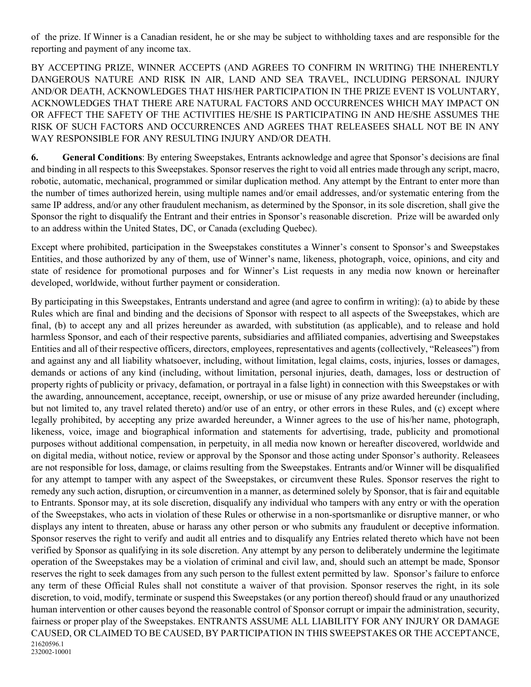of the prize. If Winner is a Canadian resident, he or she may be subject to withholding taxes and are responsible for the reporting and payment of any income tax.

BY ACCEPTING PRIZE, WINNER ACCEPTS (AND AGREES TO CONFIRM IN WRITING) THE INHERENTLY DANGEROUS NATURE AND RISK IN AIR, LAND AND SEA TRAVEL, INCLUDING PERSONAL INJURY AND/OR DEATH, ACKNOWLEDGES THAT HIS/HER PARTICIPATION IN THE PRIZE EVENT IS VOLUNTARY, ACKNOWLEDGES THAT THERE ARE NATURAL FACTORS AND OCCURRENCES WHICH MAY IMPACT ON OR AFFECT THE SAFETY OF THE ACTIVITIES HE/SHE IS PARTICIPATING IN AND HE/SHE ASSUMES THE RISK OF SUCH FACTORS AND OCCURRENCES AND AGREES THAT RELEASEES SHALL NOT BE IN ANY WAY RESPONSIBLE FOR ANY RESULTING INJURY AND/OR DEATH.

**6. General Conditions**: By entering Sweepstakes, Entrants acknowledge and agree that Sponsor's decisions are final and binding in all respects to this Sweepstakes. Sponsor reserves the right to void all entries made through any script, macro, robotic, automatic, mechanical, programmed or similar duplication method. Any attempt by the Entrant to enter more than the number of times authorized herein, using multiple names and/or email addresses, and/or systematic entering from the same IP address, and/or any other fraudulent mechanism, as determined by the Sponsor, in its sole discretion, shall give the Sponsor the right to disqualify the Entrant and their entries in Sponsor's reasonable discretion. Prize will be awarded only to an address within the United States, DC, or Canada (excluding Quebec).

Except where prohibited, participation in the Sweepstakes constitutes a Winner's consent to Sponsor's and Sweepstakes Entities, and those authorized by any of them, use of Winner's name, likeness, photograph, voice, opinions, and city and state of residence for promotional purposes and for Winner's List requests in any media now known or hereinafter developed, worldwide, without further payment or consideration.

21620596.1 232002-10001 By participating in this Sweepstakes, Entrants understand and agree (and agree to confirm in writing): (a) to abide by these Rules which are final and binding and the decisions of Sponsor with respect to all aspects of the Sweepstakes, which are final, (b) to accept any and all prizes hereunder as awarded, with substitution (as applicable), and to release and hold harmless Sponsor, and each of their respective parents, subsidiaries and affiliated companies, advertising and Sweepstakes Entities and all of their respective officers, directors, employees, representatives and agents (collectively, "Releasees") from and against any and all liability whatsoever, including, without limitation, legal claims, costs, injuries, losses or damages, demands or actions of any kind (including, without limitation, personal injuries, death, damages, loss or destruction of property rights of publicity or privacy, defamation, or portrayal in a false light) in connection with this Sweepstakes or with the awarding, announcement, acceptance, receipt, ownership, or use or misuse of any prize awarded hereunder (including, but not limited to, any travel related thereto) and/or use of an entry, or other errors in these Rules, and (c) except where legally prohibited, by accepting any prize awarded hereunder, a Winner agrees to the use of his/her name, photograph, likeness, voice, image and biographical information and statements for advertising, trade, publicity and promotional purposes without additional compensation, in perpetuity, in all media now known or hereafter discovered, worldwide and on digital media, without notice, review or approval by the Sponsor and those acting under Sponsor's authority. Releasees are not responsible for loss, damage, or claims resulting from the Sweepstakes. Entrants and/or Winner will be disqualified for any attempt to tamper with any aspect of the Sweepstakes, or circumvent these Rules. Sponsor reserves the right to remedy any such action, disruption, or circumvention in a manner, as determined solely by Sponsor, that is fair and equitable to Entrants. Sponsor may, at its sole discretion, disqualify any individual who tampers with any entry or with the operation of the Sweepstakes, who acts in violation of these Rules or otherwise in a non-sportsmanlike or disruptive manner, or who displays any intent to threaten, abuse or harass any other person or who submits any fraudulent or deceptive information. Sponsor reserves the right to verify and audit all entries and to disqualify any Entries related thereto which have not been verified by Sponsor as qualifying in its sole discretion. Any attempt by any person to deliberately undermine the legitimate operation of the Sweepstakes may be a violation of criminal and civil law, and, should such an attempt be made, Sponsor reserves the right to seek damages from any such person to the fullest extent permitted by law. Sponsor's failure to enforce any term of these Official Rules shall not constitute a waiver of that provision. Sponsor reserves the right, in its sole discretion, to void, modify, terminate or suspend this Sweepstakes (or any portion thereof) should fraud or any unauthorized human intervention or other causes beyond the reasonable control of Sponsor corrupt or impair the administration, security, fairness or proper play of the Sweepstakes. ENTRANTS ASSUME ALL LIABILITY FOR ANY INJURY OR DAMAGE CAUSED, OR CLAIMED TO BE CAUSED, BY PARTICIPATION IN THIS SWEEPSTAKES OR THE ACCEPTANCE,